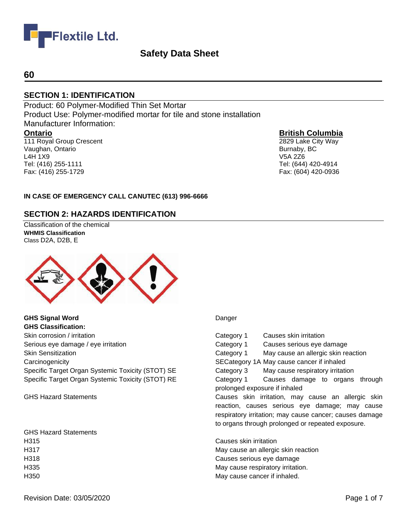

## **60**

# **SECTION 1: IDENTIFICATION**

Product: 60 Polymer-Modified Thin Set Mortar Product Use: Polymer-modified mortar for tile and stone installation Manufacturer Information: **Ontario** 111 Royal Group Crescent

Vaughan, Ontario L4H 1X9 Tel: (416) 255-1111 Fax: (416) 255-1729

## **British Columbia**

2829 Lake City Way Burnaby, BC V5A 2Z6 Tel: (644) 420-4914 Fax: (604) 420-0936

#### **IN CASE OF EMERGENCY CALL CANUTEC (613) 996-6666**

## **SECTION 2: HAZARDS IDENTIFICATION**

Classification of the chemical **WHMIS Classification**  Class D2A, D2B, E



**GHS Signal Word** Danger **GHS Classification:** Skin corrosion / irritation Category 1 Causes skin irritation Category 1 Causes skin irritation Serious eye damage / eye irritation **Causes Serious exercises** Category 1 Causes serious eye damage Carcinogenicity SECategory 1A May cause cancer if inhaled Specific Target Organ Systemic Toxicity (STOT) SE Category 3 May cause respiratory irritation

GHS Hazard Statements H315 Causes skin irritation H350 May cause cancer if inhaled.

Skin Sensitization Category 1 May cause an allergic skin reaction Specific Target Organ Systemic Toxicity (STOT) RE Category 1 Causes damage to organs through prolonged exposure if inhaled GHS Hazard Statements **Causes Skin irritation, may cause an allergic skin** irritation, may cause an allergic skin reaction, causes serious eye damage; may cause respiratory irritation; may cause cancer; causes damage to organs through prolonged or repeated exposure. H317 May cause an allergic skin reaction H318 Causes serious eye damage

H335 May cause respiratory irritation.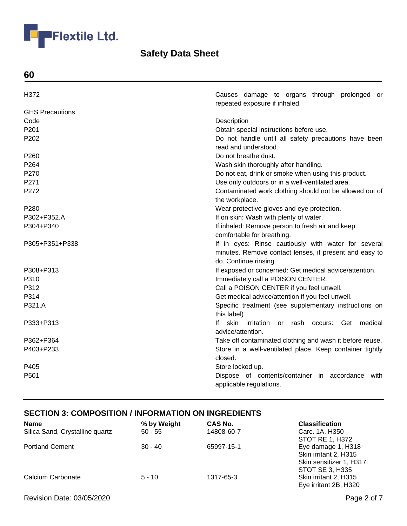

**60**

| H372                   | Causes damage to organs through prolonged or<br>repeated exposure if inhaled. |
|------------------------|-------------------------------------------------------------------------------|
| <b>GHS Precautions</b> |                                                                               |
| Code                   | Description                                                                   |
| P201                   | Obtain special instructions before use.                                       |
| P202                   | Do not handle until all safety precautions have been                          |
|                        | read and understood.                                                          |
| P <sub>260</sub>       | Do not breathe dust.                                                          |
| P <sub>264</sub>       | Wash skin thoroughly after handling.                                          |
| P270                   | Do not eat, drink or smoke when using this product.                           |
| P <sub>271</sub>       | Use only outdoors or in a well-ventilated area.                               |
| P272                   | Contaminated work clothing should not be allowed out of                       |
|                        | the workplace.                                                                |
| P <sub>280</sub>       | Wear protective gloves and eye protection.                                    |
| P302+P352.A            | If on skin: Wash with plenty of water.                                        |
| P304+P340              | If inhaled: Remove person to fresh air and keep                               |
|                        | comfortable for breathing.                                                    |
| P305+P351+P338         | If in eyes: Rinse cautiously with water for several                           |
|                        | minutes. Remove contact lenses, if present and easy to                        |
|                        | do. Continue rinsing.                                                         |
| P308+P313              | If exposed or concerned: Get medical advice/attention.                        |
| P310                   | Immediately call a POISON CENTER.                                             |
| P312                   | Call a POISON CENTER if you feel unwell.                                      |
| P314                   | Get medical advice/attention if you feel unwell.                              |
| P321.A                 | Specific treatment (see supplementary instructions on                         |
|                        | this label)                                                                   |
| P333+P313              | If skin irritation or rash occurs: Get medical                                |
|                        | advice/attention.                                                             |
| P362+P364              | Take off contaminated clothing and wash it before reuse.                      |
| P403+P233              | Store in a well-ventilated place. Keep container tightly                      |
|                        | closed.                                                                       |
| P405                   | Store locked up.                                                              |
| P501                   | Dispose of contents/container in accordance with                              |
|                        | applicable regulations.                                                       |

# **SECTION 3: COMPOSITION / INFORMATION ON INGREDIENTS**

| <b>Name</b>                     | % by Weight | <b>CAS No.</b> | <b>Classification</b>   |
|---------------------------------|-------------|----------------|-------------------------|
| Silica Sand, Crystalline quartz | $50 - 55$   | 14808-60-7     | Carc. 1A, H350          |
|                                 |             |                | STOT RE 1, H372         |
| <b>Portland Cement</b>          | $30 - 40$   | 65997-15-1     | Eye damage 1, H318      |
|                                 |             |                | Skin irritant 2, H315   |
|                                 |             |                | Skin sensitizer 1, H317 |
|                                 |             |                | STOT SE 3, H335         |
| Calcium Carbonate               | $5 - 10$    | 1317-65-3      | Skin irritant 2, H315   |
|                                 |             |                | Eye irritant 2B, H320   |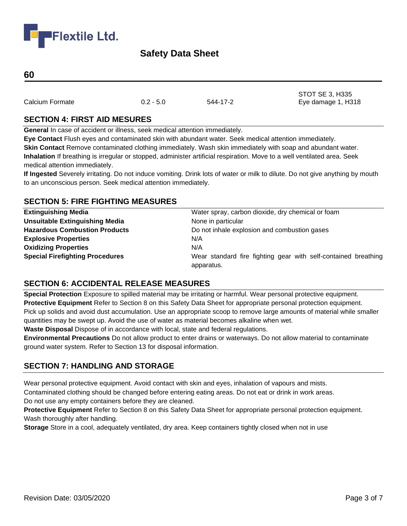

### **60**

Calcium Formate 0.2 - 5.0 544-17-2 Eye damage 1, H318

STOT SE 3, H335

# **SECTION 4: FIRST AID MESURES**

**General** In case of accident or illness, seek medical attention immediately.

**Eye Contact** Flush eyes and contaminated skin with abundant water. Seek medical attention immediately.

**Skin Contact** Remove contaminated clothing immediately. Wash skin immediately with soap and abundant water. **Inhalation** If breathing is irregular or stopped, administer artificial respiration. Move to a well ventilated area. Seek medical attention immediately.

**If Ingested** Severely irritating. Do not induce vomiting. Drink lots of water or milk to dilute. Do not give anything by mouth to an unconscious person. Seek medical attention immediately.

# **SECTION 5: FIRE FIGHTING MEASURES**

| <b>Extinguishing Media</b>             | Water spray, carbon dioxide, dry chemical or foam              |
|----------------------------------------|----------------------------------------------------------------|
| <b>Unsuitable Extinguishing Media</b>  | None in particular                                             |
| <b>Hazardous Combustion Products</b>   | Do not inhale explosion and combustion gases                   |
| <b>Explosive Properties</b>            | N/A                                                            |
| <b>Oxidizing Properties</b>            | N/A                                                            |
| <b>Special Firefighting Procedures</b> | Wear standard fire fighting gear with self-contained breathing |
|                                        | apparatus.                                                     |

# **SECTION 6: ACCIDENTAL RELEASE MEASURES**

**Special Protection** Exposure to spilled material may be irritating or harmful. Wear personal protective equipment. **Protective Equipment** Refer to Section 8 on this Safety Data Sheet for appropriate personal protection equipment. Pick up solids and avoid dust accumulation. Use an appropriate scoop to remove large amounts of material while smaller quantities may be swept up. Avoid the use of water as material becomes alkaline when wet.

**Waste Disposal** Dispose of in accordance with local, state and federal regulations.

**Environmental Precautions** Do not allow product to enter drains or waterways. Do not allow material to contaminate ground water system. Refer to Section 13 for disposal information.

# **SECTION 7: HANDLING AND STORAGE**

Wear personal protective equipment. Avoid contact with skin and eyes, inhalation of vapours and mists.

Contaminated clothing should be changed before entering eating areas. Do not eat or drink in work areas.

Do not use any empty containers before they are cleaned.

**Protective Equipment** Refer to Section 8 on this Safety Data Sheet for appropriate personal protection equipment. Wash thoroughly after handling.

**Storage** Store in a cool, adequately ventilated, dry area. Keep containers tightly closed when not in use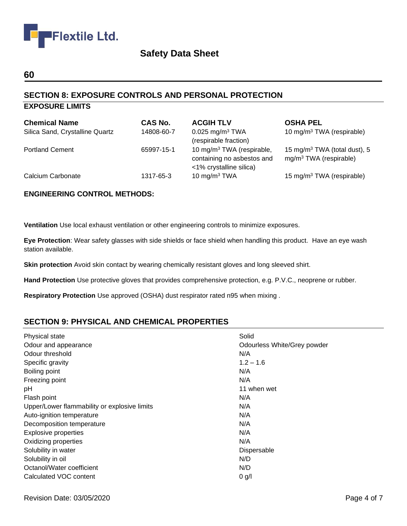

## **60**

# **SECTION 8: EXPOSURE CONTROLS AND PERSONAL PROTECTION**

# **EXPOSURE LIMITS**

| <b>Chemical Name</b><br>Silica Sand, Crystalline Quartz | <b>CAS No.</b><br>14808-60-7 | <b>ACGIH TLV</b><br>$0.025$ mg/m <sup>3</sup> TWA<br>(respirable fraction)                     | <b>OSHA PEL</b><br>10 mg/m <sup>3</sup> TWA (respirable)             |
|---------------------------------------------------------|------------------------------|------------------------------------------------------------------------------------------------|----------------------------------------------------------------------|
| <b>Portland Cement</b>                                  | 65997-15-1                   | 10 mg/m <sup>3</sup> TWA (respirable,<br>containing no asbestos and<br><1% crystalline silica) | 15 mg/m <sup>3</sup> TWA (total dust), 5<br>$mg/m3 TWA$ (respirable) |
| Calcium Carbonate                                       | 1317-65-3                    | 10 mg/m $3$ TWA                                                                                | 15 mg/m <sup>3</sup> TWA (respirable)                                |

## **ENGINEERING CONTROL METHODS:**

**Ventilation** Use local exhaust ventilation or other engineering controls to minimize exposures.

**Eye Protection**: Wear safety glasses with side shields or face shield when handling this product. Have an eye wash station available.

**Skin protection** Avoid skin contact by wearing chemically resistant gloves and long sleeved shirt.

**Hand Protection** Use protective gloves that provides comprehensive protection, e.g. P.V.C., neoprene or rubber.

**Respiratory Protection** Use approved (OSHA) dust respirator rated n95 when mixing .

# **SECTION 9: PHYSICAL AND CHEMICAL PROPERTIES**

| Physical state                               | Solid                       |
|----------------------------------------------|-----------------------------|
| Odour and appearance                         | Odourless White/Grey powder |
| Odour threshold                              | N/A                         |
| Specific gravity                             | $1.2 - 1.6$                 |
| Boiling point                                | N/A                         |
| Freezing point                               | N/A                         |
| pH                                           | 11 when wet                 |
| Flash point                                  | N/A                         |
| Upper/Lower flammability or explosive limits | N/A                         |
| Auto-ignition temperature                    | N/A                         |
| Decomposition temperature                    | N/A                         |
| <b>Explosive properties</b>                  | N/A                         |
| Oxidizing properties                         | N/A                         |
| Solubility in water                          | Dispersable                 |
| Solubility in oil                            | N/D                         |
| Octanol/Water coefficient                    | N/D                         |
| Calculated VOC content                       | 0 g/l                       |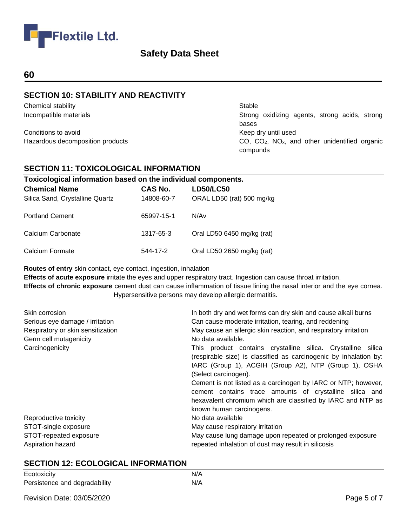

# **60**

# **SECTION 10: STABILITY AND REACTIVITY**

Chemical stability Stable

Conditions to avoid Conditions to avoid

Incompatible materials Strong oxidizing agents, strong acids, strong bases Hazardous decomposition products examples that contracts controlled by CO, CO<sub>2</sub>, NO<sub>x</sub>, and other unidentified organic compunds

# **SECTION 11: TOXICOLOGICAL INFORMATION**

| Toxicological information based on the individual components. |                |                            |
|---------------------------------------------------------------|----------------|----------------------------|
| <b>Chemical Name</b>                                          | <b>CAS No.</b> | <b>LD50/LC50</b>           |
| Silica Sand, Crystalline Quartz                               | 14808-60-7     | ORAL LD50 (rat) 500 mg/kg  |
| <b>Portland Cement</b>                                        | 65997-15-1     | N/Av                       |
| Calcium Carbonate                                             | 1317-65-3      | Oral LD50 6450 mg/kg (rat) |
| Calcium Formate                                               | 544-17-2       | Oral LD50 2650 mg/kg (rat) |

**Routes of entry** skin contact, eye contact, ingestion, inhalation

**Effects of acute exposure** irritate the eyes and upper respiratory tract. Ingestion can cause throat irritation.

**Effects of chronic exposure** cement dust can cause inflammation of tissue lining the nasal interior and the eye cornea. Hypersensitive persons may develop allergic dermatitis.

| Skin corrosion                    | In both dry and wet forms can dry skin and cause alkali burns     |
|-----------------------------------|-------------------------------------------------------------------|
| Serious eye damage / irritation   | Can cause moderate irritation, tearing, and reddening             |
| Respiratory or skin sensitization | May cause an allergic skin reaction, and respiratory irritation   |
| Germ cell mutagenicity            | No data available.                                                |
| Carcinogenicity                   | This product contains crystalline silica. Crystalline silica      |
|                                   | (respirable size) is classified as carcinogenic by inhalation by: |
|                                   | IARC (Group 1), ACGIH (Group A2), NTP (Group 1), OSHA             |
|                                   | (Select carcinogen).                                              |
|                                   | Cement is not listed as a carcinogen by IARC or NTP; however,     |
|                                   | cement contains trace amounts of crystalline silica and           |
|                                   | hexavalent chromium which are classified by IARC and NTP as       |
|                                   | known human carcinogens.                                          |
| Reproductive toxicity             | No data available                                                 |
| STOT-single exposure              | May cause respiratory irritation                                  |
| STOT-repeated exposure            | May cause lung damage upon repeated or prolonged exposure         |
| Aspiration hazard                 | repeated inhalation of dust may result in silicosis               |

# **SECTION 12: ECOLOGICAL INFORMATION**

| Ecotoxicity                   | N/A |
|-------------------------------|-----|
| Persistence and degradability | N/A |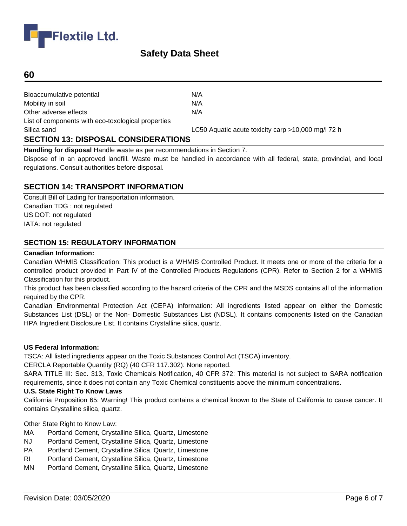

## **60**

| LC50 Aquatic acute toxicity carp >10,000 mg/l 72 h |
|----------------------------------------------------|
|                                                    |
|                                                    |
|                                                    |
|                                                    |
|                                                    |
|                                                    |
|                                                    |

**Handling for disposal** Handle waste as per recommendations in Section 7.

Dispose of in an approved landfill. Waste must be handled in accordance with all federal, state, provincial, and local regulations. Consult authorities before disposal.

## **SECTION 14: TRANSPORT INFORMATION**

Consult Bill of Lading for transportation information. Canadian TDG : not regulated US DOT: not regulated IATA: not regulated

### **SECTION 15: REGULATORY INFORMATION**

#### **Canadian Information:**

Canadian WHMIS Classification: This product is a WHMIS Controlled Product. It meets one or more of the criteria for a controlled product provided in Part IV of the Controlled Products Regulations (CPR). Refer to Section 2 for a WHMIS Classification for this product.

This product has been classified according to the hazard criteria of the CPR and the MSDS contains all of the information required by the CPR.

Canadian Environmental Protection Act (CEPA) information: All ingredients listed appear on either the Domestic Substances List (DSL) or the Non- Domestic Substances List (NDSL). It contains components listed on the Canadian HPA Ingredient Disclosure List. It contains Crystalline silica, quartz.

#### **US Federal Information:**

TSCA: All listed ingredients appear on the Toxic Substances Control Act (TSCA) inventory.

CERCLA Reportable Quantity (RQ) (40 CFR 117.302): None reported.

SARA TITLE III: Sec. 313, Toxic Chemicals Notification, 40 CFR 372: This material is not subject to SARA notification requirements, since it does not contain any Toxic Chemical constituents above the minimum concentrations.

#### **U.S. State Right To Know Laws**

California Proposition 65: Warning! This product contains a chemical known to the State of California to cause cancer. It contains Crystalline silica, quartz.

Other State Right to Know Law:

- MA Portland Cement, Crystalline Silica, Quartz, Limestone
- NJ Portland Cement, Crystalline Silica, Quartz, Limestone
- PA Portland Cement, Crystalline Silica, Quartz, Limestone
- RI Portland Cement, Crystalline Silica, Quartz, Limestone
- MN Portland Cement, Crystalline Silica, Quartz, Limestone